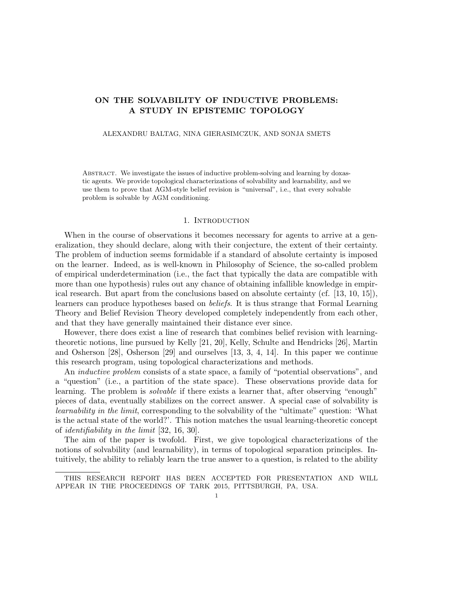# ON THE SOLVABILITY OF INDUCTIVE PROBLEMS: A STUDY IN EPISTEMIC TOPOLOGY

#### ALEXANDRU BALTAG, NINA GIERASIMCZUK, AND SONJA SMETS

Abstract. We investigate the issues of inductive problem-solving and learning by doxastic agents. We provide topological characterizations of solvability and learnability, and we use them to prove that AGM-style belief revision is "universal", i.e., that every solvable problem is solvable by AGM conditioning.

### 1. INTRODUCTION

When in the course of observations it becomes necessary for agents to arrive at a generalization, they should declare, along with their conjecture, the extent of their certainty. The problem of induction seems formidable if a standard of absolute certainty is imposed on the learner. Indeed, as is well-known in Philosophy of Science, the so-called problem of empirical underdetermination (i.e., the fact that typically the data are compatible with more than one hypothesis) rules out any chance of obtaining infallible knowledge in empirical research. But apart from the conclusions based on absolute certainty (cf. [13, 10, 15]), learners can produce hypotheses based on beliefs. It is thus strange that Formal Learning Theory and Belief Revision Theory developed completely independently from each other, and that they have generally maintained their distance ever since.

However, there does exist a line of research that combines belief revision with learningtheoretic notions, line pursued by Kelly [21, 20], Kelly, Schulte and Hendricks [26], Martin and Osherson [28], Osherson [29] and ourselves [13, 3, 4, 14]. In this paper we continue this research program, using topological characterizations and methods.

An *inductive problem* consists of a state space, a family of "potential observations", and a "question" (i.e., a partition of the state space). These observations provide data for learning. The problem is solvable if there exists a learner that, after observing "enough" pieces of data, eventually stabilizes on the correct answer. A special case of solvability is learnability in the limit, corresponding to the solvability of the "ultimate" question: 'What is the actual state of the world?'. This notion matches the usual learning-theoretic concept of identifiability in the limit [32, 16, 30].

The aim of the paper is twofold. First, we give topological characterizations of the notions of solvability (and learnability), in terms of topological separation principles. Intuitively, the ability to reliably learn the true answer to a question, is related to the ability

THIS RESEARCH REPORT HAS BEEN ACCEPTED FOR PRESENTATION AND WILL APPEAR IN THE PROCEEDINGS OF TARK 2015, PITTSBURGH, PA, USA.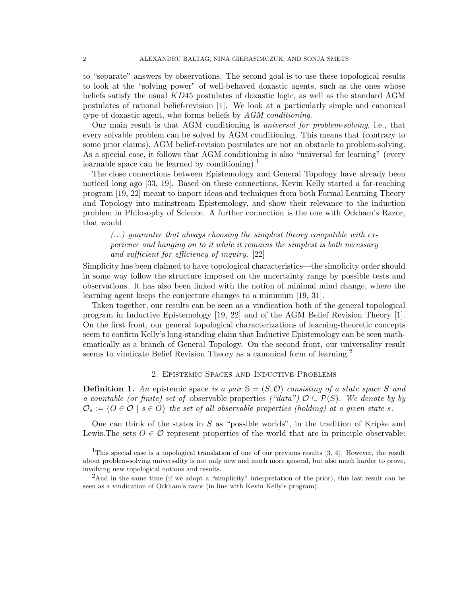to "separate" answers by observations. The second goal is to use these topological results to look at the "solving power" of well-behaved doxastic agents, such as the ones whose beliefs satisfy the usual  $KD45$  postulates of doxastic logic, as well as the standard  $AGM$ postulates of rational belief-revision [1]. We look at a particularly simple and canonical type of doxastic agent, who forms beliefs by AGM conditioning.

Our main result is that AGM conditioning is universal for problem-solving, i.e., that every solvable problem can be solved by AGM conditioning. This means that (contrary to some prior claims), AGM belief-revision postulates are not an obstacle to problem-solving. As a special case, it follows that AGM conditioning is also "universal for learning" (every learnable space can be learned by conditioning).<sup>1</sup>

The close connections between Epistemology and General Topology have already been noticed long ago [33, 19]. Based on these connections, Kevin Kelly started a far-reaching program [19, 22] meant to import ideas and techniques from both Formal Learning Theory and Topology into mainstream Epistemology, and show their relevance to the induction problem in Philosophy of Science. A further connection is the one with Ockham's Razor, that would

 $(...)$  guarantee that always choosing the simplest theory compatible with experience and hanging on to it while it remains the simplest is both necessary and sufficient for efficiency of inquiry. [22]

Simplicity has been claimed to have topological characteristics—the simplicity order should in some way follow the structure imposed on the uncertainty range by possible tests and observations. It has also been linked with the notion of minimal mind change, where the learning agent keeps the conjecture changes to a minimum [19, 31].

Taken together, our results can be seen as a vindication both of the general topological program in Inductive Epistemology [19, 22] and of the AGM Belief Revision Theory [1]. On the first front, our general topological characterizations of learning-theoretic concepts seem to confirm Kelly's long-standing claim that Inductive Epistemology can be seen mathematically as a branch of General Topology. On the second front, our universality result seems to vindicate Belief Revision Theory as a canonical form of learning.<sup>2</sup>

## 2. Epistemic Spaces and Inductive Problems

**Definition 1.** An epistemic space is a pair  $\mathcal{S} = (S, \mathcal{O})$  consisting of a state space S and a countable (or finite) set of observable properties ("data")  $\mathcal{O} \subset \mathcal{P}(S)$ . We denote by by  $\mathcal{O}_s := \{O \in \mathcal{O} \mid s \in O\}$  the set of all observable properties (holding) at a given state s.

One can think of the states in  $S$  as "possible worlds", in the tradition of Kripke and Lewis. The sets  $O \in \mathcal{O}$  represent properties of the world that are in principle observable:

<sup>&</sup>lt;sup>1</sup>This special case is a topological translation of one of our previous results  $[3, 4]$ . However, the result about problem-solving universality is not only new and much more general, but also much harder to prove, involving new topological notions and results.

<sup>&</sup>lt;sup>2</sup>And in the same time (if we adopt a "simplicity" interpretation of the prior), this last result can be seen as a vindication of Ockham's razor (in line with Kevin Kelly's program).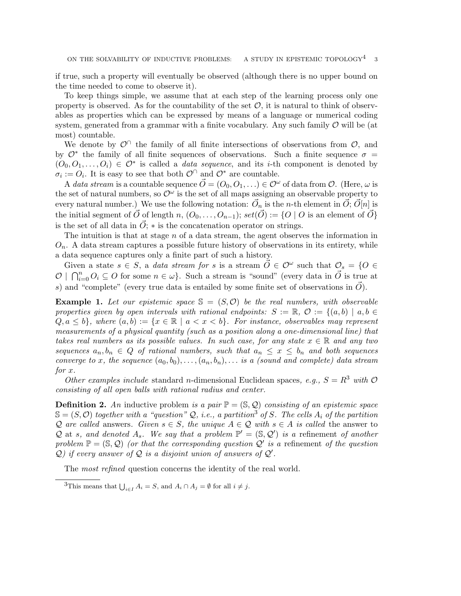if true, such a property will eventually be observed (although there is no upper bound on the time needed to come to observe it).

To keep things simple, we assume that at each step of the learning process only one property is observed. As for the countability of the set  $\mathcal{O}$ , it is natural to think of observables as properties which can be expressed by means of a language or numerical coding system, generated from a grammar with a finite vocabulary. Any such family  $\mathcal O$  will be (at most) countable.

We denote by  $\mathcal{O}^{\cap}$  the family of all finite intersections of observations from  $\mathcal{O}$ , and by  $\mathcal{O}^*$  the family of all finite sequences of observations. Such a finite sequence  $\sigma =$  $(O_0, O_1, \ldots, O_i) \in \mathcal{O}^*$  is called a *data sequence*, and its *i*-th component is denoted by  $\sigma_i := O_i$ . It is easy to see that both  $\mathcal{O}^{\cap}$  and  $\mathcal{O}^*$  are countable.

A data stream is a countable sequence  $\vec{O}=(O_0,O_1,\ldots)\in\mathcal{O}^{\omega}$  of data from  $\mathcal{O}$ . (Here,  $\omega$  is the set of natural numbers, so  $\mathcal{O}^{\omega}$  is the set of all maps assigning an observable property to every natural number.) We use the following notation:  $\vec{O}_n$  is the *n*-th element in  $\vec{O}$ ;  $\vec{O}[n]$  is the initial segment of  $\vec{O}$  of length n,  $(O_0, \ldots, O_{n-1}); set(\vec{O}) := \{O \mid O \text{ is an element of } \vec{O}\}\$ is the set of all data in  $\vec{O}$ ;  $*$  is the concatenation operator on strings.

The intuition is that at stage  $n$  of a data stream, the agent observes the information in  $O_n$ . A data stream captures a possible future history of observations in its entirety, while a data sequence captures only a finite part of such a history.

Given a state  $s \in S$ , a *data stream for* s is a stream  $\overrightarrow{O} \in \mathcal{O}^{\omega}$  such that  $\mathcal{O}_s = \{O \in$  $\mathcal{O} \mid \bigcap_{i=0}^{n} O_i \subseteq O$  for some  $n \in \omega$ . Such a stream is "sound" (every data in  $\vec{O}$  is true at s) and "complete" (every true data is entailed by some finite set of observations in  $\vec{O}$ ).

**Example 1.** Let our epistemic space  $S = (S, \mathcal{O})$  be the real numbers, with observable properties given by open intervals with rational endpoints:  $S := \mathbb{R}, \mathcal{O} := \{(a, b) \mid a, b \in \mathcal{O}\}$  $Q, a \leq b$ , where  $(a, b) := \{x \in \mathbb{R} \mid a < x < b\}$ . For instance, observables may represent measurements of a physical quantity (such as a position along a one-dimensional line) that takes real numbers as its possible values. In such case, for any state  $x \in \mathbb{R}$  and any two sequences  $a_n, b_n \in Q$  of rational numbers, such that  $a_n \leq x \leq b_n$  and both sequences converge to x, the sequence  $(a_0, b_0), \ldots, (a_n, b_n), \ldots$  is a (sound and complete) data stream for x.

Other examples include standard n-dimensional Euclidean spaces, e.g.,  $S = R^3$  with  $\mathcal{O}$ consisting of all open balls with rational radius and center.

**Definition 2.** An inductive problem is a pair  $\mathbb{P} = (\mathbb{S}, \mathcal{Q})$  consisting of an epistemic space  $\mathbb{S} = (S, \mathcal{O})$  together with a "question" Q, i.e., a partition<sup>3</sup> of S. The cells  $A_i$  of the partition Q are called answers. Given  $s \in S$ , the unique  $A \in \mathcal{Q}$  with  $s \in A$  is called the answer to Q at s, and denoted  $A_s$ . We say that a problem  $\mathbb{P}' = (\mathbb{S}, \mathcal{Q}')$  is a refinement of another problem  $\mathbb{P} = (\mathbb{S}, \mathcal{Q})$  (or that the corresponding question  $\mathcal{Q}'$  is a refinement of the question Q) if every answer of Q is a disjoint union of answers of  $Q'$ .

The most refined question concerns the identity of the real world.

<sup>&</sup>lt;sup>3</sup>This means that  $\bigcup_{i \in I} A_i = S$ , and  $A_i \cap A_j = \emptyset$  for all  $i \neq j$ .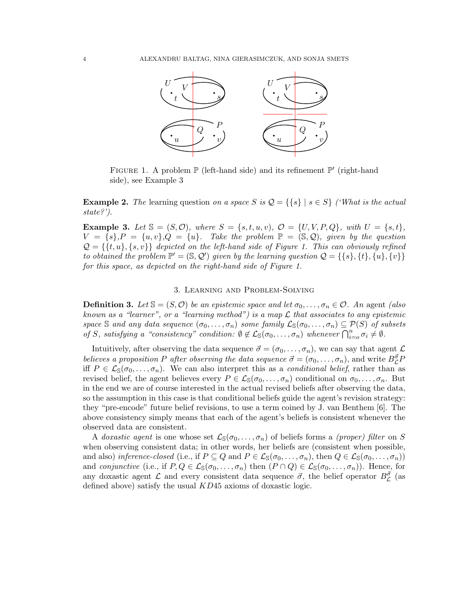

FIGURE 1. A problem  $\mathbb P$  (left-hand side) and its refinement  $\mathbb P'$  (right-hand side), see Example 3

**Example 2.** The learning question on a space S is  $\mathcal{Q} = \{ \{s\} \mid s \in S \}$  ('What is the actual state?').

**Example 3.** Let  $\mathbb{S} = (S, \mathcal{O})$ , where  $S = \{s, t, u, v\}$ ,  $\mathcal{O} = \{U, V, P, Q\}$ , with  $U = \{s, t\}$ ,  $V = \{s\}, P = \{u, v\}, Q = \{u\}.$  Take the problem  $\mathbb{P} = (\mathbb{S}, \mathcal{Q})$ , given by the question  $\mathcal{Q} = \{\{t, u\}, \{s, v\}\}\$  depicted on the left-hand side of Figure 1. This can obviously refined to obtained the problem  $\mathbb{P}' = (\mathbb{S}, \mathcal{Q}')$  given by the learning question  $\mathcal{Q} = \{\{s\}, \{t\}, \{u\}, \{v\}\}\$ for this space, as depicted on the right-hand side of Figure 1.

## 3. Learning and Problem-Solving

**Definition 3.** Let  $\mathbb{S} = (S, \mathcal{O})$  be an epistemic space and let  $\sigma_0, \ldots, \sigma_n \in \mathcal{O}$ . An agent (also known as a "learner", or a "learning method") is a map  $\mathcal L$  that associates to any epistemic space S and any data sequence  $(\sigma_0, \ldots, \sigma_n)$  some family  $\mathcal{L}_{\mathbb{S}}(\sigma_0, \ldots, \sigma_n) \subseteq \mathcal{P}(S)$  of subsets of S, satisfying a "consistency" condition:  $\emptyset \notin \mathcal{L}_{\mathbb{S}}(\sigma_0,\ldots,\sigma_n)$  whenever  $\bigcap_{i=0}^n \sigma_i \neq \emptyset$ .

Intuitively, after observing the data sequence  $\vec{\sigma} = (\sigma_0, \ldots, \sigma_n)$ , we can say that agent  $\mathcal{L}$ believes a proposition P after observing the data sequence  $\vec{\sigma} = (\sigma_0, \ldots, \sigma_n)$ , and write  $B_{\mathcal{L}}^{\vec{\sigma}}P$ iff  $P \in \mathcal{L}_{\mathbb{S}}(\sigma_0,\ldots,\sigma_n)$ . We can also interpret this as a *conditional belief*, rather than as revised belief, the agent believes every  $P \in \mathcal{L}_{\mathbb{S}}(\sigma_0,\ldots,\sigma_n)$  conditional on  $\sigma_0,\ldots,\sigma_n$ . But in the end we are of course interested in the actual revised beliefs after observing the data, so the assumption in this case is that conditional beliefs guide the agent's revision strategy: they "pre-encode" future belief revisions, to use a term coined by J. van Benthem [6]. The above consistency simply means that each of the agent's beliefs is consistent whenever the observed data are consistent.

A doxastic agent is one whose set  $\mathcal{L}_{S}(\sigma_0,\ldots,\sigma_n)$  of beliefs forms a *(proper) filter* on S when observing consistent data; in other words, her beliefs are (consistent when possible, and also) inference-closed (i.e., if  $P \subseteq Q$  and  $P \in \mathcal{L}_{\mathbb{S}}(\sigma_0,\ldots,\sigma_n)$ , then  $Q \in \mathcal{L}_{\mathbb{S}}(\sigma_0,\ldots,\sigma_n)$ ) and conjunctive (i.e., if  $P, Q \in \mathcal{L}_{\mathbb{S}}(\sigma_0, \ldots, \sigma_n)$  then  $(P \cap Q) \in \mathcal{L}_{\mathbb{S}}(\sigma_0, \ldots, \sigma_n)$ ). Hence, for any doxastic agent  $\mathcal L$  and every consistent data sequence  $\vec \sigma$ , the belief operator  $B^{\vec \sigma}_{\mathcal L}$  (as defined above) satisfy the usual KD45 axioms of doxastic logic.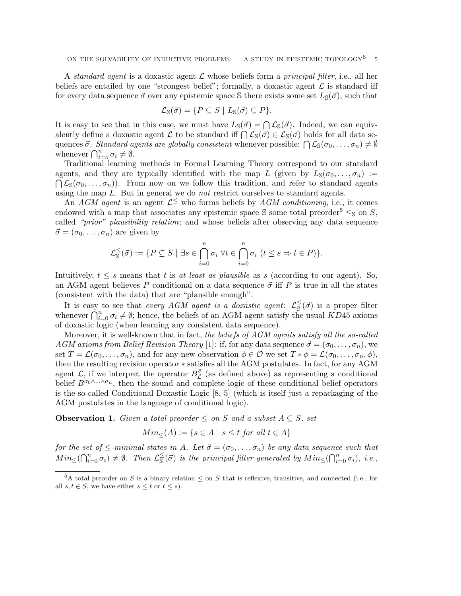A standard agent is a doxastic agent  $\mathcal L$  whose beliefs form a principal filter, i.e., all her beliefs are entailed by one "strongest belief"; formally, a doxastic agent  $\mathcal L$  is standard iff for every data sequence  $\vec{\sigma}$  over any epistemic space S there exists some set  $L_{\mathbb{S}}(\vec{\sigma})$ , such that

$$
\mathcal{L}_{\mathbb{S}}(\vec{\sigma}) = \{ P \subseteq S \mid L_{\mathbb{S}}(\vec{\sigma}) \subseteq P \}.
$$

It is easy to see that in this case, we must have  $L_{\mathbb{S}}(\vec{\sigma}) = \bigcap \mathcal{L}_{\mathbb{S}}(\vec{\sigma})$ . Indeed, we can equivalently define a doxastic agent L to be standard iff  $\bigcap \mathcal{L}_{\mathbb{S}}(\vec{\sigma}) \in \mathcal{L}_{\mathbb{S}}(\vec{\sigma})$  holds for all data sequences  $\vec{\sigma}$ . Standard agents are globally consistent whenever possible:  $\bigcap \mathcal{L}_{\mathbb{S}}(\sigma_0,\ldots,\sigma_n) \neq \emptyset$ whenever  $\bigcap_{i=0}^n \sigma_i \neq \emptyset$ .

Traditional learning methods in Formal Learning Theory correspond to our standard agents, and they are typically identified with the map L (given by  $L_{\mathbb{S}}(\sigma_0,\ldots,\sigma_n) :=$  $\bigcap \mathcal{L}_{\mathbb{S}}(\sigma_0,\ldots,\sigma_n)$ . From now on we follow this tradition, and refer to standard agents using the map  $L$ . But in general we do *not* restrict ourselves to standard agents.

An AGM agent is an agent  $\mathcal{L}^{\leq}$  who forms beliefs by AGM conditioning, i.e., it comes endowed with a map that associates any epistemic space S some total preorder<sup>5</sup>  $\leq_{\mathbb{S}}$  on S, called "*prior*" *plausibility relation*; and whose beliefs after observing any data sequence  $\vec{\sigma} = (\sigma_0, \ldots, \sigma_n)$  are given by

$$
\mathcal{L}_{\mathbb{S}}^{\leq}(\vec{\sigma}) := \{ P \subseteq S \mid \exists s \in \bigcap_{i=0}^{n} \sigma_i \ \forall t \in \bigcap_{i=0}^{n} \sigma_i \ (t \leq s \Rightarrow t \in P) \}.
$$

Intuitively,  $t \leq s$  means that t is at least as plausible as s (according to our agent). So, an AGM agent believes P conditional on a data sequence  $\vec{\sigma}$  iff P is true in all the states (consistent with the data) that are "plausible enough".

It is easy to see that *every AGM agent is a doxastic agent*:  $\mathcal{L}_{\overline{S}}^{\leq}(\vec{\sigma})$  is a proper filter whenever  $\bigcap_{i=0}^n \sigma_i \neq \emptyset$ ; hence, the beliefs of an AGM agent satisfy the usual  $\widehat{KD45}$  axioms of doxastic logic (when learning any consistent data sequence).

Moreover, it is well-known that in fact, the beliefs of AGM agents satisfy all the so-called AGM axioms from Belief Revision Theory [1]: if, for any data sequence  $\vec{\sigma} = (\sigma_0, \ldots, \sigma_n)$ , we set  $T = \mathcal{L}(\sigma_0, \ldots, \sigma_n)$ , and for any new observation  $\phi \in \mathcal{O}$  we set  $T * \phi = \mathcal{L}(\sigma_0, \ldots, \sigma_n, \phi)$ , then the resulting revision operator ∗ satisfies all the AGM postulates. In fact, for any AGM agent  $\mathcal{L}$ , if we interpret the operator  $B^{\vec{\sigma}}_{\mathcal{L}}$  (as defined above) as representing a conditional belief  $B^{\sigma_0 \wedge \ldots \wedge \sigma_n}$ , then the sound and complete logic of these conditional belief operators is the so-called Conditional Doxastic Logic [8, 5] (which is itself just a repackaging of the AGM postulates in the language of conditional logic).

**Observation 1.** Given a total preorder  $\leq$  on S and a subset  $A \subseteq S$ , set

$$
Min_{\leq}(A) := \{ s \in A \mid s \leq t \text{ for all } t \in A \}
$$

for the set of  $\leq$ -minimal states in A. Let  $\vec{\sigma} = (\sigma_0, \ldots, \sigma_n)$  be any data sequence such that  $Min_{\leq}(\bigcap_{i=0}^n \sigma_i) \neq \emptyset$ . Then  $\mathcal{L}_{\mathbb{S}}^{\leq}(\vec{\sigma})$  is the principal filter generated by  $Min_{\leq}(\bigcap_{i=0}^n \sigma_i)$ , i.e.,

<sup>&</sup>lt;sup>5</sup>A total preorder on S is a binary relation  $\leq$  on S that is reflexive, transitive, and connected (i.e., for all  $s, t \in S$ , we have either  $s \leq t$  or  $t \leq s$ ).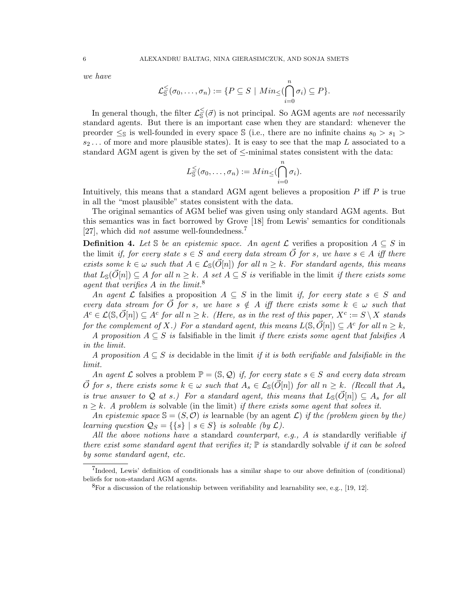we have

$$
\mathcal{L}_{\mathbb{S}}^{\leq}(\sigma_0,\ldots,\sigma_n):=\{P\subseteq S\mid Min_{\leq}(\bigcap_{i=0}^n\sigma_i)\subseteq P\}.
$$

In general though, the filter  $\mathcal{L}_{\mathbb{S}}^{\leq}(\vec{\sigma})$  is not principal. So AGM agents are *not* necessarily standard agents. But there is an important case when they are standard: whenever the preorder  $\leq_{\mathbb{S}}$  is well-founded in every space  $\mathbb{S}$  (i.e., there are no infinite chains  $s_0 > s_1$ )  $s_2 \ldots$  of more and more plausible states). It is easy to see that the map L associated to a standard AGM agent is given by the set of  $\le$ -minimal states consistent with the data:

$$
L^{\leq}_{\mathbb{S}}(\sigma_0,\ldots,\sigma_n):=Min_{\leq}(\bigcap_{i=0}^n\sigma_i).
$$

Intuitively, this means that a standard AGM agent believes a proposition  $P$  iff  $P$  is true in all the "most plausible" states consistent with the data.

The original semantics of AGM belief was given using only standard AGM agents. But this semantics was in fact borrowed by Grove [18] from Lewis' semantics for conditionals [27], which did *not* assume well-foundedness.<sup>7</sup>

**Definition 4.** Let S be an epistemic space. An agent  $\mathcal{L}$  verifies a proposition  $A \subseteq S$  in the limit if, for every state  $s \in S$  and every data stream  $\overrightarrow{O}$  for s, we have  $s \in A$  iff there exists some  $k \in \omega$  such that  $A \in \mathcal{L}_\mathbb{S}(\vec{O}[n])$  for all  $n \geq k$ . For standard agents, this means that  $L_{\mathbb{S}}(\vec{O}[n]) \subseteq A$  for all  $n \geq k$ . A set  $A \subseteq S$  is verifiable in the limit if there exists some agent that verifies  $A$  in the limit.<sup>8</sup>

An agent L falsifies a proposition  $A \subseteq S$  in the limit if, for every state  $s \in S$  and every data stream for  $\overrightarrow{O}$  for s, we have  $s \notin A$  iff there exists some  $k \in \omega$  such that  $A^c \in \mathcal{L}(\mathbb{S}, \vec{O}[n]) \subseteq A^c$  for all  $n \geq k$ . (Here, as in the rest of this paper,  $X^c := S \setminus X$  stands for the complement of X.) For a standard agent, this means  $L(\mathbb{S}, \vec{O}[n]) \subseteq A^c$  for all  $n \geq k$ ,

A proposition  $A \subseteq S$  is falsifiable in the limit if there exists some agent that falsifies A in the limit.

A proposition  $A \subseteq S$  is decidable in the limit if it is both verifiable and falsifiable in the limit.

An agent L solves a problem  $\mathbb{P} = (\mathbb{S}, \mathcal{Q})$  if, for every state  $s \in S$  and every data stream  $\overrightarrow{O}$  for s, there exists some  $k \in \omega$  such that  $A_s \in \mathcal{L}_\mathbb{S}(\overrightarrow{O}[n])$  for all  $n \geq k$ . (Recall that  $A_s$ is true answer to Q at s.) For a standard agent, this means that  $L_{{\mathbb S}}(\vec{O}[n]) \subseteq A_s$  for all  $n \geq k$ . A problem is solvable (in the limit) if there exists some agent that solves it.

An epistemic space  $\mathcal{S} = (S, \mathcal{O})$  is learnable (by an agent  $\mathcal{L}$ ) if the (problem given by the) learning question  $\mathcal{Q}_S = \{ \{ s \} \mid s \in S \}$  is solvable (by  $\mathcal{L}$ ).

All the above notions have a standard counterpart, e.g., A is standardly verifiable if there exist some standard agent that verifies it;  $\mathbb P$  is standardly solvable if it can be solved by some standard agent, etc.

<sup>7</sup> Indeed, Lewis' definition of conditionals has a similar shape to our above definition of (conditional) beliefs for non-standard AGM agents.

 ${}^{8}$ For a discussion of the relationship between verifiability and learnability see, e.g., [19, 12].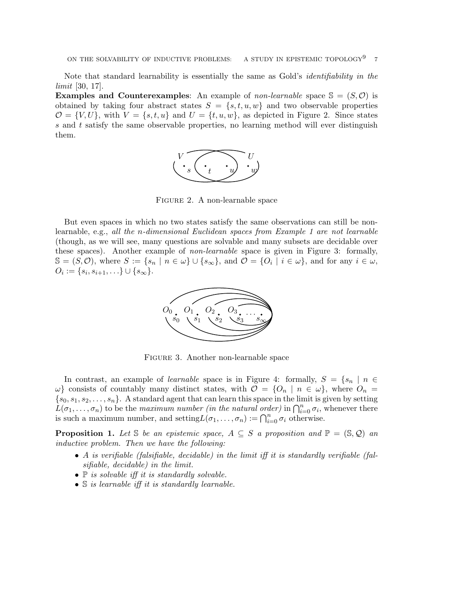Note that standard learnability is essentially the same as Gold's identifiability in the limit [30, 17].

**Examples and Counterexamples:** An example of *non-learnable* space  $\mathcal{S} = (S, \mathcal{O})$  is obtained by taking four abstract states  $S = \{s, t, u, w\}$  and two observable properties  $\mathcal{O} = \{V, U\}$ , with  $V = \{s, t, u\}$  and  $U = \{t, u, w\}$ , as depicted in Figure 2. Since states s and t satisfy the same observable properties, no learning method will ever distinguish them.



Figure 2. A non-learnable space

But even spaces in which no two states satisfy the same observations can still be nonlearnable, e.g., all the n-dimensional Euclidean spaces from Example 1 are not learnable (though, as we will see, many questions are solvable and many subsets are decidable over these spaces). Another example of *non-learnable* space is given in Figure 3: formally,  $\mathbb{S} = (S, \mathcal{O})$ , where  $S := \{s_n \mid n \in \omega\} \cup \{s_\infty\}$ , and  $\mathcal{O} = \{O_i \mid i \in \omega\}$ , and for any  $i \in \omega$ ,  $O_i := \{s_i, s_{i+1}, \ldots\} \cup \{s_{\infty}\}.$ 



Figure 3. Another non-learnable space

In contrast, an example of *learnable* space is in Figure 4: formally,  $S = \{s_n | n \in$  $\omega$ } consists of countably many distinct states, with  $\mathcal{O} = \{O_n \mid n \in \omega\}$ , where  $O_n =$  $\{s_0, s_1, s_2, \ldots, s_n\}$ . A standard agent that can learn this space in the limit is given by setting  $L(\sigma_1,\ldots,\sigma_n)$  to be the maximum number (in the natural order) in  $\bigcap_{i=0}^n \sigma_i$ , whenever there is such a maximum number, and setting  $L(\sigma_1, \ldots, \sigma_n) := \bigcap_{i=0}^n \sigma_i$  otherwise.

**Proposition 1.** Let S be an epistemic space,  $A \subseteq S$  a proposition and  $\mathbb{P} = (\mathbb{S}, \mathcal{Q})$  an inductive problem. Then we have the following:

- A is verifiable (falsifiable, decidable) in the limit iff it is standardly verifiable (falsifiable, decidable) in the limit.
- $\mathbb P$  is solvable iff it is standardly solvable.
- S is learnable iff it is standardly learnable.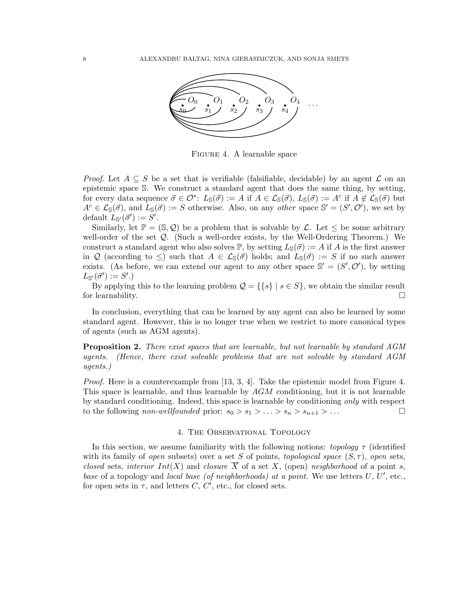

Figure 4. A learnable space

*Proof.* Let  $A \subseteq S$  be a set that is verifiable (falsifiable, decidable) by an agent  $\mathcal L$  on an epistemic space S. We construct a standard agent that does the same thing, by setting, for every data sequence  $\vec{\sigma} \in \mathcal{O}^*$ :  $L_{\mathbb{S}}(\vec{\sigma}) := A$  if  $A \in \mathcal{L}_{\mathbb{S}}(\vec{\sigma}), L_{\mathbb{S}}(\vec{\sigma}) := A^c$  if  $A \notin \mathcal{L}_{\mathbb{S}}(\vec{\sigma})$  but  $A^c \in \mathcal{L}_\mathcal{S}(\vec{\sigma})$ , and  $L_\mathcal{S}(\vec{\sigma}) := S$  otherwise. Also, on any *other* space  $\mathcal{S}' = (S', \mathcal{O}')$ , we set by default  $L_{\mathbb{S}'}(\vec{\sigma}') := S'.$ 

Similarly, let  $\mathbb{P} = (\mathbb{S}, \mathcal{Q})$  be a problem that is solvable by  $\mathcal{L}$ . Let  $\leq$  be some arbitrary well-order of the set Q. (Such a well-order exists, by the Well-Ordering Theorem.) We construct a standard agent who also solves  $\mathbb{P}$ , by setting  $L_{\mathbb{S}}(\vec{\sigma}) := A$  if A is the first answer in Q (according to  $\leq$ ) such that  $A \in \mathcal{L}_{\mathbb{S}}(\vec{\sigma})$  holds; and  $L_{\mathbb{S}}(\vec{\sigma}) := S$  if no such answer exists. (As before, we can extend our agent to any other space  $\mathbb{S}' = (S', \mathcal{O}')$ , by setting  $L_{\mathbb{S}'}(\vec{\sigma}') := S'.$ 

By applying this to the learning problem  $\mathcal{Q} = \{\{s\} \mid s \in S\}$ , we obtain the similar result for learnability.  $\Box$ 

In conclusion, everything that can be learned by any agent can also be learned by some standard agent. However, this is no longer true when we restrict to more canonical types of agents (such as AGM agents).

**Proposition 2.** There exist spaces that are learnable, but not learnable by standard AGM agents. (Hence, there exist solvable problems that are not solvable by standard AGM agents.)

*Proof.* Here is a counterexample from [13, 3, 4]. Take the epistemic model from Figure 4. This space is learnable, and thus learnable by AGM conditioning, but it is not learnable by standard conditioning. Indeed, this space is learnable by conditioning only with respect to the following *non-wellfounded* prior:  $s_0 > s_1 > \ldots > s_n > s_{n+1} > \ldots$ 

#### 4. The Observational Topology

In this section, we assume familiarity with the following notions: topology  $\tau$  (identified with its family of open subsets) over a set S of points, topological space  $(S, \tau)$ , open sets, closed sets, interior  $Int(X)$  and closure  $\overline{X}$  of a set X, (open) neighborhood of a point s, base of a topology and local base (of neighborhoods) at a point. We use letters  $U, U',$  etc., for open sets in  $\tau$ , and letters C, C', etc., for closed sets.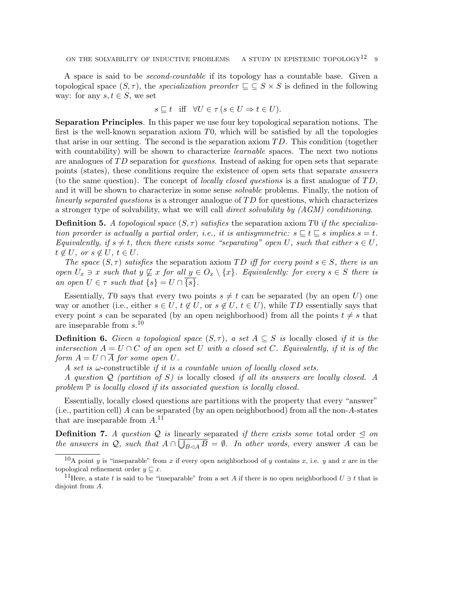A space is said to be second-countable if its topology has a countable base. Given a topological space  $(S, \tau)$ , the specialization preorder  $\Gamma \subseteq S \times S$  is defined in the following way: for any  $s, t \in S$ , we set

$$
s \sqsubseteq t \quad \text{iff} \quad \forall U \in \tau \ (s \in U \Rightarrow t \in U).
$$

Separation Principles. In this paper we use four key topological separation notions. The first is the well-known separation axiom  $T_0$ , which will be satisfied by all the topologies that arise in our setting. The second is the separation axiom  $TD$ . This condition (together with countability) will be shown to characterize *learnable* spaces. The next two notions are analogues of TD separation for questions. Instead of asking for open sets that separate points (states), these conditions require the existence of open sets that separate answers (to the same question). The concept of *locally closed questions* is a first analogue of  $TD$ , and it will be shown to characterize in some sense *solvable* problems. Finally, the notion of linearly separated questions is a stronger analogue of  $TD$  for questions, which characterizes a stronger type of solvability, what we will call direct solvability by (AGM) conditioning.

**Definition 5.** A topological space  $(S, \tau)$  satisfies the separation axiom T0 if the specialization preorder is actually a partial order, i.e., it is antisymmetric:  $s \sqsubseteq t \sqsubseteq s$  implies  $s = t$ . Equivalently, if  $s \neq t$ , then there exists some "separating" open U, such that either  $s \in U$ ,  $t \notin U$ , or  $s \notin U$ ,  $t \in U$ .

The space  $(S, \tau)$  satisfies the separation axiom TD iff for every point  $s \in S$ , there is an open  $U_x \ni x$  such that  $y \not\sqsubseteq x$  for all  $y \in O_x \setminus \{x\}$ . Equivalently: for every  $s \in S$  there is an open  $U \in \tau$  such that  $\{s\} = U \cap \overline{\{s\}}$ .

Essentially, T0 says that every two points  $s \neq t$  can be separated (by an open U) one way or another (i.e., either  $s \in U$ ,  $t \notin U$ , or  $s \notin U$ ,  $t \in U$ ), while TD essentially says that every point s can be separated (by an open neighborhood) from all the points  $t \neq s$  that are inseparable from  $s$ .<sup>10</sup>

**Definition 6.** Given a topological space  $(S, \tau)$ , a set  $A \subseteq S$  is locally closed if it is the intersection  $A = U \cap C$  of an open set U with a closed set C. Equivalently, if it is of the form  $A = U \cap \overline{A}$  for some open U.

A set is  $\omega$ -constructible if it is a countable union of locally closed sets.

A question  $Q$  (partition of S) is locally closed if all its answers are locally closed. A problem  $\mathbb P$  is locally closed if its associated question is locally closed.

Essentially, locally closed questions are partitions with the property that every "answer" (i.e., partition cell) A can be separated (by an open neighborhood) from all the non-A-states that are inseparable from  $A$ .<sup>11</sup>

**Definition 7.** A question Q is linearly separated if there exists some total order  $\leq$  on the answers in Q, such that  $A \cap \bigcup_{B \triangleleft A} B = \emptyset$ . In other words, every answer A can be

<sup>&</sup>lt;sup>10</sup>A point y is "inseparable" from x if every open neighborhood of y contains x, i.e. y and x are in the topological refinement order  $y \sqsubseteq x$ .

<sup>&</sup>lt;sup>11</sup>Here, a state t is said to be "inseparable" from a set A if there is no open neighborhood  $U \ni t$  that is disjoint from A.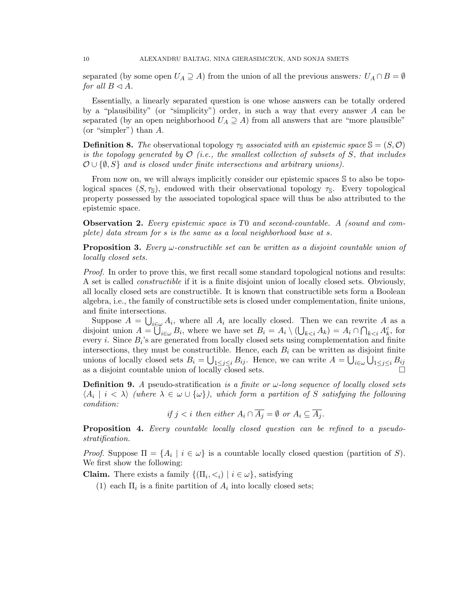separated (by some open  $U_A \supseteq A$ ) from the union of all the previous answers:  $U_A \cap B = \emptyset$ for all  $B \triangleleft A$ .

Essentially, a linearly separated question is one whose answers can be totally ordered by a "plausibility" (or "simplicity") order, in such a way that every answer A can be separated (by an open neighborhood  $U_A \supseteq A$ ) from all answers that are "more plausible" (or "simpler") than A.

**Definition 8.** The observational topology  $\tau_s$  associated with an epistemic space  $\mathcal{S} = (S, \mathcal{O})$ is the topology generated by  $\mathcal{O}$  (i.e., the smallest collection of subsets of S, that includes  $\mathcal{O} \cup \{\emptyset, S\}$  and is closed under finite intersections and arbitrary unions).

From now on, we will always implicitly consider our epistemic spaces S to also be topological spaces  $(S, \tau_{\mathbb{S}})$ , endowed with their observational topology  $\tau_{\mathbb{S}}$ . Every topological property possessed by the associated topological space will thus be also attributed to the epistemic space.

**Observation 2.** Every epistemic space is TO and second-countable. A (sound and complete) data stream for s is the same as a local neighborhood base at s.

**Proposition 3.** Every  $\omega$ -constructible set can be written as a disjoint countable union of locally closed sets.

Proof. In order to prove this, we first recall some standard topological notions and results: A set is called constructible if it is a finite disjoint union of locally closed sets. Obviously, all locally closed sets are constructible. It is known that constructible sets form a Boolean algebra, i.e., the family of constructible sets is closed under complementation, finite unions, and finite intersections.

Suppose  $A = \bigcup_{i \in \omega} A_i$ , where all  $A_i$  are locally closed. Then we can rewrite A as a disjoint union  $A = \overline{\bigcup}_{i \in \omega} B_i$ , where we have set  $B_i = A_i \setminus (\bigcup_{k \leq i} A_k) = A_i \cap \bigcap_{k \leq i} A_k^c$ , for every *i*. Since  $B_i$ 's are generated from locally closed sets using complementation and finite intersections, they must be constructible. Hence, each  $B_i$  can be written as disjoint finite unions of locally closed sets  $B_i = \bigcup_{1 \leq j \leq i} B_{ij}$ . Hence, we can write  $A = \bigcup_{i \in \omega} \bigcup_{1 \leq j \leq i} B_{ij}$ as a disjoint countable union of locally closed sets.

**Definition 9.** A pseudo-stratification is a finite or  $\omega$ -long sequence of locally closed sets  $\langle A_i \mid i \langle \lambda \rangle$  (where  $\lambda \in \omega \cup \{\omega\}$ ), which form a partition of S satisfying the following condition:

if  $j < i$  then either  $A_i \cap \overline{A_j} = \emptyset$  or  $A_i \subseteq \overline{A_i}$ .

**Proposition 4.** Every countable locally closed question can be refined to a pseudostratification.

*Proof.* Suppose  $\Pi = \{A_i \mid i \in \omega\}$  is a countable locally closed question (partition of S). We first show the following:

**Claim.** There exists a family  $\{(\Pi_i, \langle i \rangle \mid i \in \omega\})$ , satisfying

(1) each  $\Pi_i$  is a finite partition of  $A_i$  into locally closed sets;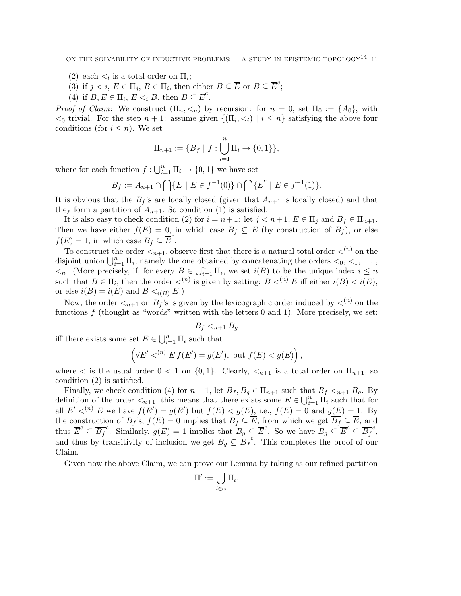ON THE SOLVABILITY OF INDUCTIVE PROBLEMS: A STUDY IN EPISTEMIC TOPOLOGY<sup>14</sup> 11

- (2) each  $\lt_i$  is a total order on  $\Pi_i$ ;
- (3) if  $j < i, E \in \Pi_j, B \in \Pi_i$ , then either  $B \subseteq \overline{E}$  or  $B \subseteq \overline{E}^c$ ;
- (4) if  $B, E \in \Pi_i$ ,  $E \leq_i B$ , then  $B \subseteq \overline{E}^c$ .

*Proof of Claim:* We construct  $(\Pi_n, \leq_n)$  by recursion: for  $n = 0$ , set  $\Pi_0 := \{A_0\}$ , with  $\{0 \leq 0 \}$  trivial. For the step  $n + 1$ : assume given  $\{(\Pi_i, \leq i) \mid i \leq n\}$  satisfying the above four conditions (for  $i \leq n$ ). We set

$$
\Pi_{n+1} := \{ B_f \mid f : \bigcup_{i=1}^{n} \Pi_i \to \{0, 1\} \},\
$$

where for each function  $f: \bigcup_{i=1}^n \Pi_i \to \{0,1\}$  we have set

$$
B_f := A_{n+1} \cap \bigcap \{ \overline{E} \mid E \in f^{-1}(0) \} \cap \bigcap \{ \overline{E}^c \mid E \in f^{-1}(1) \}.
$$

It is obvious that the  $B_f$ 's are locally closed (given that  $A_{n+1}$  is locally closed) and that they form a partition of  $A_{n+1}$ . So condition (1) is satisfied.

It is also easy to check condition (2) for  $i = n + 1$ : let  $j < n + 1$ ,  $E \in \Pi_j$  and  $B_f \in \Pi_{n+1}$ . Then we have either  $f(E) = 0$ , in which case  $B_f \subseteq \overline{E}$  (by construction of  $B_f$ ), or else  $f(E) = 1$ , in which case  $B_f \subseteq \overline{E}^c$ .

To construct the order  $\langle n+1, 0 \rangle$  observe first that there is a natural total order  $\langle n \rangle$  on the disjoint union  $\bigcup_{i=1}^n \Pi_i$ , namely the one obtained by concatenating the orders  $\langle 0, \langle 1, \ldots \rangle$  $\langle \cdot \rangle$ . (More precisely, if, for every  $B \in \bigcup_{i=1}^n \Pi_i$ , we set  $i(B)$  to be the unique index  $i \leq n$ such that  $B \in \Pi_i$ , then the order  $\langle n \rangle$  is given by setting:  $B \langle n \rangle E$  iff either  $i(B) \langle i(E),$ or else  $i(B) = i(E)$  and  $B \lt_{i(B)} E$ .)

Now, the order  $\langle n+1 \rangle$  on  $B_f$ 's is given by the lexicographic order induced by  $\langle n \rangle$  on the functions  $f$  (thought as "words" written with the letters 0 and 1). More precisely, we set:

$$
B_f <_{n+1} B_g
$$

iff there exists some set  $E \in \bigcup_{i=1}^n \Pi_i$  such that

$$
\left(\forall E' <^{(n)} E f(E') = g(E'), \text{ but } f(E) < g(E)\right),
$$

where  $\lt$  is the usual order  $0 \lt 1$  on  $\{0,1\}$ . Clearly,  $\lt_{n+1}$  is a total order on  $\Pi_{n+1}$ , so condition (2) is satisfied.

Finally, we check condition (4) for  $n+1$ , let  $B_f, B_g \in \Pi_{n+1}$  such that  $B_f <_{n+1} B_g$ . By definition of the order  $\lt_{n+1}$ , this means that there exists some  $E \in \bigcup_{i=1}^n \Pi_i$  such that for all  $E' <^{(n)} E$  we have  $f(E') = g(E')$  but  $f(E) < g(E)$ , i.e.,  $f(E) = 0$  and  $g(E) = 1$ . By the construction of  $B_f$ 's,  $f(E) = 0$  implies that  $B_f \subseteq \overline{E}$ , from which we get  $\overline{B_f} \subseteq \overline{E}$ , and thus  $\overline{E}^c \subseteq \overline{B_f}^c$ . Similarly,  $g(E) = 1$  implies that  $B_g \subseteq \overline{E}^c$ . So we have  $B_g \subseteq \overline{E}^c \subseteq \overline{B_f}^c$ , and thus by transitivity of inclusion we get  $B_g \subseteq \overline{B_f}^c$ . This completes the proof of our Claim.

Given now the above Claim, we can prove our Lemma by taking as our refined partition

$$
\Pi':=\bigcup_{i\in\omega}\Pi_i.
$$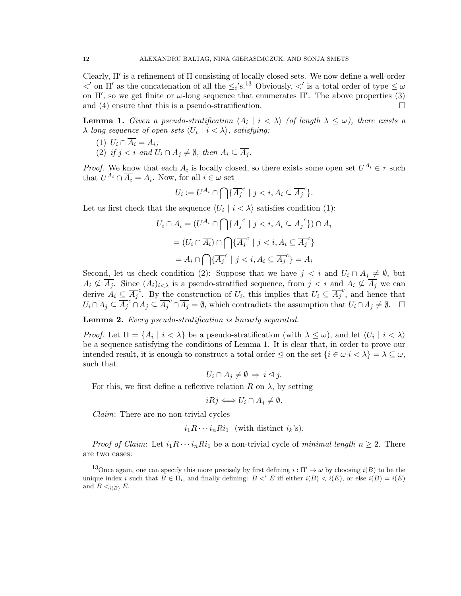Clearly,  $\Pi'$  is a refinement of  $\Pi$  consisting of locally closed sets. We now define a well-order  $\langle \rangle$  on  $\Pi'$  as the concatenation of all the  $\leq i$ 's.<sup>13</sup> Obviously,  $\langle \rangle'$  is a total order of type  $\leq \omega$ on  $\Pi'$ , so we get finite or  $\omega$ -long sequence that enumerates  $\Pi'$ . The above properties (3) and (4) ensure that this is a pseudo-stratification.  $\square$ 

**Lemma 1.** Given a pseudo-stratification  $\langle A_i | i \rangle \langle \delta \rangle$  (of length  $\lambda \leq \omega$ ), there exists a  $\lambda$ -long sequence of open sets  $\langle U_i \mid i < \lambda \rangle$ , satisfying:

- (1)  $U_i \cap \overline{A_i} = A_i;$
- (2) if  $j < i$  and  $U_i \cap A_j \neq \emptyset$ , then  $A_i \subseteq \overline{A_i}$ .

*Proof.* We know that each  $A_i$  is locally closed, so there exists some open set  $U^{A_i} \in \tau$  such that  $U^{A_i} \cap \overline{A_i} = A_i$ . Now, for all  $i \in \omega$  set

$$
U_i := U^{A_i} \cap \bigcap \{ \overline{A_j}^c \mid j < i, A_i \subseteq \overline{A_j}^c \}.
$$

Let us first check that the sequence  $\langle U_i | i \rangle$  satisfies condition (1):

$$
U_i \cap \overline{A_i} = (U^{A_i} \cap \bigcap \{\overline{A_j}^c \mid j < i, A_i \subseteq \overline{A_j}^c\}) \cap \overline{A_i}
$$
\n
$$
= (U_i \cap \overline{A_i}) \cap \bigcap \{\overline{A_j}^c \mid j < i, A_i \subseteq \overline{A_j}^c\}
$$
\n
$$
= A_i \cap \bigcap \{\overline{A_j}^c \mid j < i, A_i \subseteq \overline{A_j}^c\} = A_i
$$

Second, let us check condition (2): Suppose that we have  $j < i$  and  $U_i \cap A_j \neq \emptyset$ , but  $A_i \nsubseteq \overline{A_j}$ . Since  $(A_i)_{i \leq \lambda}$  is a pseudo-stratified sequence, from  $j < i$  and  $A_i \nsubseteq \overline{A_j}$  we can derive  $A_i \subseteq \overline{A_j}^c$ . By the construction of  $U_i$ , this implies that  $U_i \subseteq \overline{A_j}^c$ , and hence that  $U_i \cap A_j \subseteq \overline{A_j}^c \cap A_j \subseteq \overline{A_j}^c \cap \overline{A_j} = \emptyset$ , which contradicts the assumption that  $U_i \cap A_j \neq \emptyset$ .  $\Box$ 

Lemma 2. Every pseudo-stratification is linearly separated.

*Proof.* Let  $\Pi = \{A_i \mid i < \lambda\}$  be a pseudo-stratification (with  $\lambda \leq \omega$ ), and let  $\langle U_i \mid i < \lambda \rangle$ be a sequence satisfying the conditions of Lemma 1. It is clear that, in order to prove our intended result, it is enough to construct a total order  $\leq$  on the set  $\{i \in \omega | i < \lambda\} = \lambda \subseteq \omega$ , such that

$$
U_i \cap A_j \neq \emptyset \Rightarrow i \leq j.
$$

For this, we first define a reflexive relation R on  $\lambda$ , by setting

$$
iRj \Longleftrightarrow U_i \cap A_j \neq \emptyset.
$$

Claim: There are no non-trivial cycles

$$
i_1R\cdots i_nRi_1
$$
 (with distinct  $i_k$ 's).

*Proof of Claim:* Let  $i_1R \cdots i_nRi_1$  be a non-trivial cycle of minimal length  $n \geq 2$ . There are two cases:

<sup>&</sup>lt;sup>13</sup>Once again, one can specify this more precisely by first defining  $i : \Pi' \to \omega$  by choosing  $i(B)$  to be the unique index i such that  $B \in \Pi_i$ , and finally defining:  $B \lt' E$  iff either  $i(B) \lt i(E)$ , or else  $i(B) = i(E)$ and  $B \lt_{i(B)} E$ .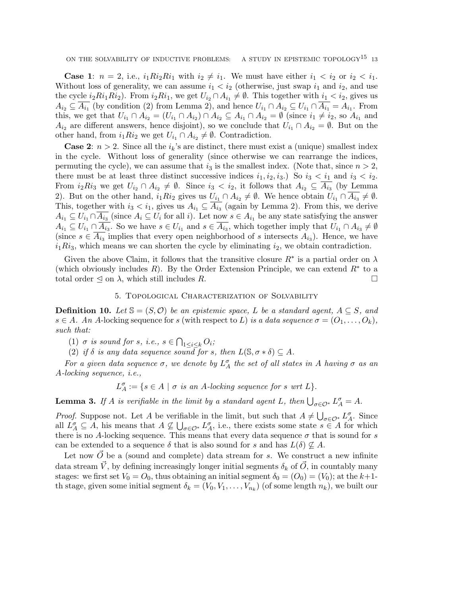**Case 1:**  $n = 2$ , i.e.,  $i_1 Ri_2 Ri_1$  with  $i_2 \neq i_1$ . We must have either  $i_1 < i_2$  or  $i_2 < i_1$ . Without loss of generality, we can assume  $i_1 < i_2$  (otherwise, just swap  $i_1$  and  $i_2$ , and use the cycle  $i_2Ri_1Ri_2$ ). From  $i_2Ri_1$ , we get  $U_{i_2} \cap A_{i_1} \neq \emptyset$ . This together with  $i_1 < i_2$ , gives us  $A_{i_2} \subseteq \overline{A_{i_1}}$  (by condition (2) from Lemma 2), and hence  $U_{i_1} \cap A_{i_2} \subseteq U_{i_1} \cap \overline{A_{i_1}} = A_{i_1}$ . From this, we get that  $U_{i_1} \cap A_{i_2} = (U_{i_1} \cap A_{i_2}) \cap A_{i_2} \subseteq A_{i_1} \cap A_{i_2} = \emptyset$  (since  $i_1 \neq i_2$ , so  $A_{i_1}$  and  $A_{i_2}$  are different answers, hence disjoint), so we conclude that  $U_{i_1} \cap A_{i_2} = \emptyset$ . But on the other hand, from  $i_1 Ri_2$  we get  $U_{i_1} \cap A_{i_2} \neq \emptyset$ . Contradiction.

**Case 2:**  $n > 2$ . Since all the  $i_k$ 's are distinct, there must exist a (unique) smallest index in the cycle. Without loss of generality (since otherwise we can rearrange the indices, permuting the cycle), we can assume that  $i_3$  is the smallest index. (Note that, since  $n > 2$ , there must be at least three distinct successive indices  $i_1, i_2, i_3$ .) So  $i_3 < i_1$  and  $i_3 < i_2$ . From  $i_2 Ri_3$  we get  $U_{i_2} \cap A_{i_2} \neq \emptyset$ . Since  $i_3 < i_2$ , it follows that  $A_{i_2} \subseteq \overline{A_{i_3}}$  (by Lemma 2). But on the other hand,  $i_1 Ri_2$  gives us  $U_{i_1} \cap A_{i_2} \neq \emptyset$ . We hence obtain  $U_{i_1} \cap A_{i_3} \neq \emptyset$ . This, together with  $i_3 < i_1$ , gives us  $A_{i_1} \subseteq \overline{A_{i_3}}$  (again by Lemma 2). From this, we derive  $A_{i_1} \subseteq U_{i_1} \cap A_{i_3}$  (since  $A_i \subseteq U_i$  for all i). Let now  $s \in A_{i_1}$  be any state satisfying the answer  $A_{i_1} \subseteq U_{i_1} \cap A_{i_3}$ . So we have  $s \in U_{i_1}$  and  $s \in A_{i_3}$ , which together imply that  $U_{i_1} \cap A_{i_3} \neq \emptyset$ (since  $s \in \overline{A_{i_3}}$  implies that every open neighborhood of s intersects  $A_{i_3}$ ). Hence, we have  $i_1Ri_3$ , which means we can shorten the cycle by eliminating  $i_2$ , we obtain contradiction.

Given the above Claim, it follows that the transitive closure  $R^*$  is a partial order on  $\lambda$ (which obviously includes  $R$ ). By the Order Extension Principle, we can extend  $R^*$  to a total order  $\leq$  on  $\lambda$ , which still includes R.

## 5. Topological Characterization of Solvability

**Definition 10.** Let  $\mathcal{S} = (S, \mathcal{O})$  be an epistemic space, L be a standard agent,  $A \subseteq S$ , and  $s \in A$ . An A-locking sequence for s (with respect to L) is a data sequence  $\sigma = (O_1, \ldots, O_k)$ , such that:

(1)  $\sigma$  is sound for s, i.e.,  $s \in \bigcap_{1 \leq i \leq k} O_i$ ;

(2) if  $\delta$  is any data sequence sound for s, then  $L(\mathbb{S}, \sigma * \delta) \subseteq A$ .

For a given data sequence  $\sigma$ , we denote by  $L_A^{\sigma}$  the set of all states in A having  $\sigma$  as an A-locking sequence, i.e.,

 $L_A^{\sigma} := \{ s \in A \mid \sigma \text{ is an } A\text{-locking sequence for } s \text{ wrt } L \}.$ 

**Lemma 3.** If A is verifiable in the limit by a standard agent L, then  $\bigcup_{\sigma \in \mathcal{O}^*} L_A^{\sigma} = A$ .

*Proof.* Suppose not. Let A be verifiable in the limit, but such that  $A \neq \bigcup_{\sigma \in \mathcal{O}^*} L_A^{\sigma}$ . Since all  $L_A^{\sigma} \subseteq A$ , his means that  $A \not\subseteq \bigcup_{\sigma \in \mathcal{O}^*} L_A^{\sigma}$ , i.e., there exists some state  $s \in A$  for which there is no A-locking sequence. This means that every data sequence  $\sigma$  that is sound for s can be extended to a sequence  $\delta$  that is also sound for s and has  $L(\delta) \not\subset A$ .

Let now  $\overrightarrow{O}$  be a (sound and complete) data stream for s. We construct a new infinite data stream  $\vec{V}$ , by defining increasingly longer initial segments  $\delta_k$  of  $\vec{O}$ , in countably many stages: we first set  $V_0 = O_0$ , thus obtaining an initial segment  $\delta_0 = (O_0) = (V_0)$ ; at the  $k+1$ th stage, given some initial segment  $\delta_k = (V_0, V_1, \ldots, V_{n_k})$  (of some length  $n_k$ ), we built our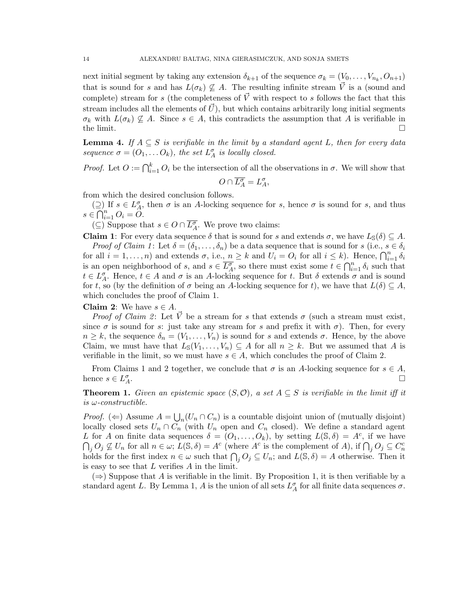next initial segment by taking any extension  $\delta_{k+1}$  of the sequence  $\sigma_k = (V_0, \ldots, V_{n_k}, O_{n+1})$ that is sound for s and has  $L(\sigma_k) \not\subseteq A$ . The resulting infinite stream  $\vec{V}$  is a (sound and complete) stream for s (the completeness of  $\vec{V}$  with respect to s follows the fact that this stream includes all the elements of  $\vec{U}$ , but which contains arbitrarily long initial segments  $\sigma_k$  with  $L(\sigma_k) \nsubseteq A$ . Since  $s \in A$ , this contradicts the assumption that A is verifiable in the limit.  $\square$ 

**Lemma 4.** If  $A \subseteq S$  is verifiable in the limit by a standard agent L, then for every data sequence  $\sigma = (O_1, \ldots O_k)$ , the set  $L_A^{\sigma}$  is locally closed.

*Proof.* Let  $O := \bigcap_{i=1}^k O_i$  be the intersection of all the observations in  $\sigma$ . We will show that

$$
O\cap \overline{L_A^\sigma}=L_A^\sigma,
$$

from which the desired conclusion follows.

 $( ⊇)$  If  $s ∈ L^{\sigma}_A$ , then  $\sigma$  is an A-locking sequence for s, hence  $\sigma$  is sound for s, and thus  $s \in \bigcap_{i=1}^n O_i = O$ .

(⊆) Suppose that  $s \in O \cap \overline{L_A^{\sigma}}$ . We prove two claims:

**Claim 1:** For every data sequence  $\delta$  that is sound for s and extends  $\sigma$ , we have  $L_{\mathcal{S}}(\delta) \subseteq A$ . *Proof of Claim 1*: Let  $\delta = (\delta_1, \ldots, \delta_n)$  be a data sequence that is sound for s (i.e.,  $s \in \delta_i$ )

for all  $i = 1, ..., n$ ) and extends  $\sigma$ , i.e.,  $n \geq k$  and  $U_i = O_i$  for all  $i \leq k$ ). Hence,  $\bigcap_{i=1}^n \delta_i$ is an open neighborhood of s, and  $s \in \overline{L_A^{\sigma}}$ , so there must exist some  $t \in \bigcap_{i=1}^n \delta_i$  such that  $t \in L_A^{\sigma}$ . Hence,  $t \in A$  and  $\sigma$  is an A-locking sequence for t. But  $\delta$  extends  $\sigma$  and is sound for t, so (by the definition of  $\sigma$  being an A-locking sequence for t), we have that  $L(\delta) \subseteq A$ , which concludes the proof of Claim 1.

## **Claim 2:** We have  $s \in A$ .

*Proof of Claim 2*: Let V be a stream for s that extends  $\sigma$  (such a stream must exist, since  $\sigma$  is sound for s: just take any stream for s and prefix it with  $\sigma$ ). Then, for every  $n \geq k$ , the sequence  $\delta_n = (V_1, \ldots, V_n)$  is sound for s and extends  $\sigma$ . Hence, by the above Claim, we must have that  $L_{\mathbb{S}}(V_1,\ldots,V_n) \subseteq A$  for all  $n \geq k$ . But we assumed that A is verifiable in the limit, so we must have  $s \in A$ , which concludes the proof of Claim 2.

From Claims 1 and 2 together, we conclude that  $\sigma$  is an A-locking sequence for  $s \in A$ , hence  $s \in L_A^{\sigma}$ .

**Theorem 1.** Given an epistemic space  $(S, \mathcal{O})$ , a set  $A \subseteq S$  is verifiable in the limit iff it is  $\omega$ -constructible.

*Proof.* ( $\Leftarrow$ ) Assume  $A = \bigcup_n (U_n \cap C_n)$  is a countable disjoint union of (mutually disjoint) locally closed sets  $U_n \cap C_n$  (with  $U_n$  open and  $C_n$  closed). We define a standard agent L for A on finite data sequences  $\delta = (O_1, \ldots, O_k)$ , by setting  $L(\mathbb{S}, \delta) = A^c$ , if we have  $\bigcap_j O_j \not\subseteq U_n$  for all  $n \in \omega$ ;  $\overline{L}(\mathbb{S}, \delta) = A^c$  (where  $A^c$  is the complement of A), if  $\bigcap_j O_j \subseteq C_n^c$ holds for the first index  $n \in \omega$  such that  $\bigcap_j O_j \subseteq U_n$ ; and  $L(\mathbb{S}, \delta) = A$  otherwise. Then it is easy to see that  $L$  verifies  $A$  in the limit.

 $(\Rightarrow)$  Suppose that A is verifiable in the limit. By Proposition 1, it is then verifiable by a standard agent L. By Lemma 1, A is the union of all sets  $L_A^{\sigma}$  for all finite data sequences  $\sigma$ .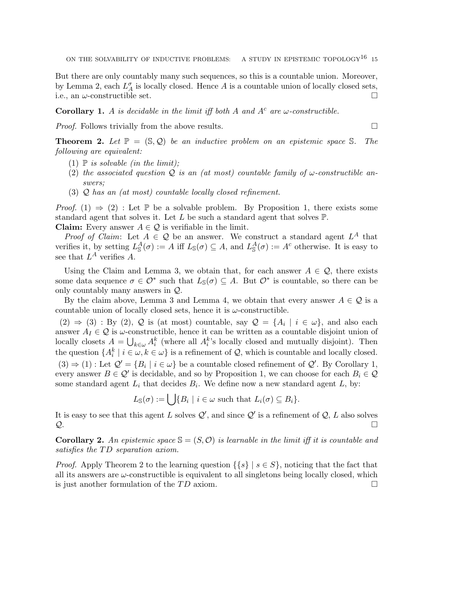But there are only countably many such sequences, so this is a countable union. Moreover, by Lemma 2, each  $L_A^{\sigma}$  is locally closed. Hence A is a countable union of locally closed sets, i.e., an  $\omega$ -constructible set.

**Corollary 1.** A is decidable in the limit iff both A and  $A^c$  are  $\omega$ -constructible.

*Proof.* Follows trivially from the above results.  $\Box$ 

**Theorem 2.** Let  $\mathbb{P} = (\mathbb{S}, \mathcal{Q})$  be an inductive problem on an epistemic space S. The following are equivalent:

- (1)  $\mathbb P$  is solvable (in the limit);
- (2) the associated question Q is an (at most) countable family of  $\omega$ -constructible answers;
- (3) Q has an (at most) countable locally closed refinement.

*Proof.* (1)  $\Rightarrow$  (2) : Let P be a solvable problem. By Proposition 1, there exists some standard agent that solves it. Let L be such a standard agent that solves  $\mathbb{P}$ .

**Claim:** Every answer  $A \in \mathcal{Q}$  is verifiable in the limit.

*Proof of Claim:* Let  $A \in \mathcal{Q}$  be an answer. We construct a standard agent  $L^A$  that verifies it, by setting  $L^A_{\mathbb{S}}(\sigma) := A$  iff  $L_{\mathbb{S}}(\sigma) \subseteq A$ , and  $L^A_{\mathbb{S}}(\sigma) := A^c$  otherwise. It is easy to see that  $L^A$  verifies A.

Using the Claim and Lemma 3, we obtain that, for each answer  $A \in \mathcal{Q}$ , there exists some data sequence  $\sigma \in \mathcal{O}^*$  such that  $L_{\mathbb{S}}(\sigma) \subseteq A$ . But  $\mathcal{O}^*$  is countable, so there can be only countably many answers in Q.

By the claim above, Lemma 3 and Lemma 4, we obtain that every answer  $A \in \mathcal{Q}$  is a countable union of locally closed sets, hence it is  $\omega$ -constructible.

 $(2) \Rightarrow (3) : By (2), Q$  is (at most) countable, say  $Q = \{A_i \mid i \in \omega\}$ , and also each answer  $A_I \in \mathcal{Q}$  is  $\omega$ -constructible, hence it can be written as a countable disjoint union of locally closets  $A = \bigcup_{k \in \omega} A_i^k$  (where all  $A_i^k$ 's locally closed and mutually disjoint). Then the question  $\{A_i^k \mid i \in \omega, k \in \omega\}$  is a refinement of  $\mathcal{Q}$ , which is countable and locally closed.  $(3) \Rightarrow (1)$ : Let  $\mathcal{Q}' = \{B_i \mid i \in \omega\}$  be a countable closed refinement of  $\mathcal{Q}'$ . By Corollary 1, every answer  $B \in \mathcal{Q}'$  is decidable, and so by Proposition 1, we can choose for each  $B_i \in \mathcal{Q}$ some standard agent  $L_i$  that decides  $B_i$ . We define now a new standard agent L, by:

$$
L_{\mathbb{S}}(\sigma) := \bigcup \{ B_i \mid i \in \omega \text{ such that } L_i(\sigma) \subseteq B_i \}.
$$

It is easy to see that this agent L solves  $\mathcal{Q}'$ , and since  $\mathcal{Q}'$  is a refinement of  $\mathcal{Q}, L$  also solves  $\mathcal{Q}$ .

**Corollary 2.** An epistemic space  $\mathcal{S} = (S, \mathcal{O})$  is learnable in the limit iff it is countable and satisfies the TD separation axiom.

*Proof.* Apply Theorem 2 to the learning question  $\{\{s\} \mid s \in S\}$ , noticing that the fact that all its answers are  $\omega$ -constructible is equivalent to all singletons being locally closed, which is just another formulation of the  $TD$  axiom.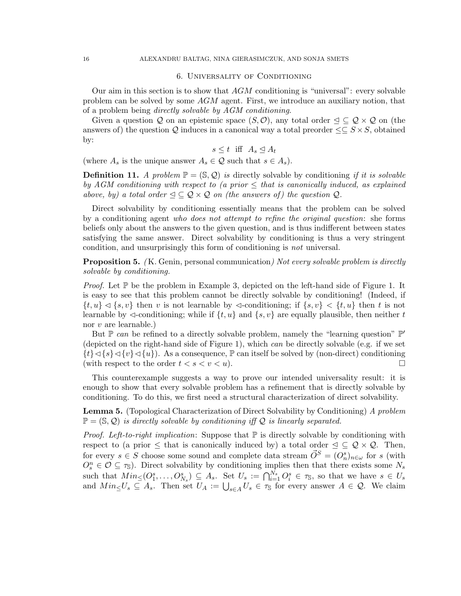## 6. Universality of Conditioning

Our aim in this section is to show that  $AGM$  conditioning is "universal": every solvable problem can be solved by some AGM agent. First, we introduce an auxiliary notion, that of a problem being directly solvable by AGM conditioning.

Given a question Q on an epistemic space  $(S, \mathcal{O})$ , any total order  $\subseteq \mathcal{Q} \times \mathcal{Q}$  on (the answers of) the question Q induces in a canonical way a total preorder  $\leq \leq S \times S$ , obtained by:

$$
s \le t \quad \text{iff} \quad A_s \le A_t
$$

(where  $A_s$  is the unique answer  $A_s \in \mathcal{Q}$  such that  $s \in A_s$ ).

**Definition 11.** A problem  $\mathbb{P} = (\mathbb{S}, \mathcal{Q})$  is directly solvable by conditioning if it is solvable by AGM conditioning with respect to (a prior  $\leq$  that is canonically induced, as explained above, by) a total order  $\leq \mathcal{Q} \times \mathcal{Q}$  on (the answers of) the question  $\mathcal{Q}$ .

Direct solvability by conditioning essentially means that the problem can be solved by a conditioning agent who does not attempt to refine the original question: she forms beliefs only about the answers to the given question, and is thus indifferent between states satisfying the same answer. Direct solvability by conditioning is thus a very stringent condition, and unsurprisingly this form of conditioning is not universal.

**Proposition 5.** (K. Genin, personal communication) Not every solvable problem is directly solvable by conditioning.

*Proof.* Let  $\mathbb P$  be the problem in Example 3, depicted on the left-hand side of Figure 1. It is easy to see that this problem cannot be directly solvable by conditioning! (Indeed, if  $\{t, u\} \lhd \{s, v\}$  then v is not learnable by  $\lhd$ -conditioning; if  $\{s, v\} \lhd \{t, u\}$  then t is not learnable by  $\triangleleft$ -conditioning; while if  $\{t, u\}$  and  $\{s, v\}$  are equally plausible, then neither t nor v are learnable.)

But  $\mathbb P$  can be refined to a directly solvable problem, namely the "learning question"  $\mathbb P'$ (depicted on the right-hand side of Figure 1), which can be directly solvable (e.g. if we set  $\{t\}\triangleleft\{s\}\triangleleft\{v\}\triangleleft\{u\}\right)$ . As a consequence,  $\mathbb P$  can itself be solved by (non-direct) conditioning (with respect to the order  $t < s < v < u$ ).

This counterexample suggests a way to prove our intended universality result: it is enough to show that every solvable problem has a refinement that is directly solvable by conditioning. To do this, we first need a structural characterization of direct solvability.

**Lemma 5.** (Topological Characterization of Direct Solvability by Conditioning) A problem  $\mathbb{P} = (\mathbb{S}, \mathcal{Q})$  is directly solvable by conditioning iff  $\mathcal{Q}$  is linearly separated.

*Proof. Left-to-right implication:* Suppose that  $\mathbb P$  is directly solvable by conditioning with respect to (a prior  $\leq$  that is canonically induced by) a total order  $\leq \subseteq \mathcal{Q} \times \mathcal{Q}$ . Then, for every  $s \in S$  choose some sound and complete data stream  $\vec{O}^S = (O_n^s)_{n \in \omega}$  for s (with  $O_s^n \in \mathcal{O} \subseteq \tau_{\mathbb{S}}$ . Direct solvability by conditioning implies then that there exists some  $N_s$ such that  $Min \leq (O_1^s, \ldots, O_{N_s}^s) \subseteq A_s$ . Set  $U_s := \bigcap_{i=1}^{N_s} O_i^s \in \tau_{\mathbb{S}}$ , so that we have  $s \in U_s$ and  $Min_{\leq} U_s \subseteq A_s$ . Then set  $U_A := \bigcup_{s \in A} U_s \in \tau_s$  for every answer  $A \in \mathcal{Q}$ . We claim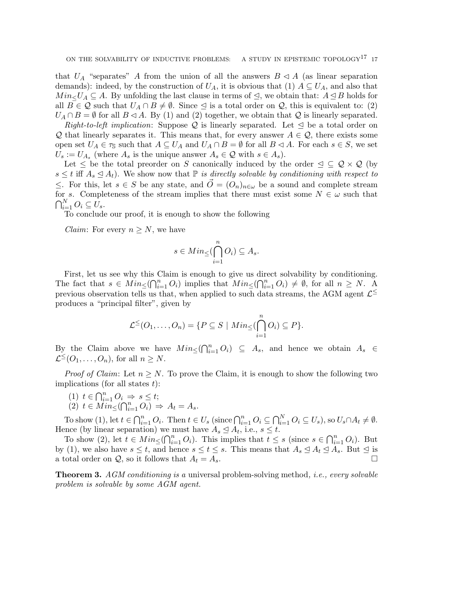that  $U_A$  "separates" A from the union of all the answers  $B \triangleleft A$  (as linear separation demands): indeed, by the construction of  $U_A$ , it is obvious that (1)  $A \subseteq U_A$ , and also that  $Min< U_A \subseteq A$ . By unfolding the last clause in terms of  $\trianglelefteq$ , we obtain that:  $A \trianglelefteq B$  holds for all  $B \in \mathcal{Q}$  such that  $U_A \cap B \neq \emptyset$ . Since  $\leq$  is a total order on  $\mathcal{Q}$ , this is equivalent to: (2)  $U_A \cap B = \emptyset$  for all  $B \triangleleft A$ . By (1) and (2) together, we obtain that  $\mathcal Q$  is linearly separated.

*Right-to-left implication:* Suppose Q is linearly separated. Let  $\trianglelefteq$  be a total order on Q that linearly separates it. This means that, for every answer  $A \in \mathcal{Q}$ , there exists some open set  $U_A \in \tau_{\mathbb{S}}$  such that  $A \subseteq U_A$  and  $U_A \cap B = \emptyset$  for all  $B \lhd A$ . For each  $s \in S$ , we set  $U_s := U_{A_s}$  (where  $A_s$  is the unique answer  $A_s \in \mathcal{Q}$  with  $s \in A_s$ ).

Let  $\leq$  be the total preorder on S canonically induced by the order  $\leq \mathcal{Q} \times \mathcal{Q}$  (by  $s \leq t$  iff  $A_s \leq A_t$ ). We show now that  $\mathbb P$  is directly solvable by conditioning with respect to ≤. For this, let  $s \in S$  be any state, and  $\overrightarrow{O} = (O_n)_{n \in \omega}$  be a sound and complete stream for s. Completeness of the stream implies that there must exist some  $N \in \omega$  such that  $\bigcap_{i=1}^N O_i \subseteq U_s.$ 

To conclude our proof, it is enough to show the following

*Claim:* For every  $n \geq N$ , we have

$$
s \in Min \leq (\bigcap_{i=1}^{n} O_i) \subseteq A_s.
$$

First, let us see why this Claim is enough to give us direct solvability by conditioning. The fact that  $s \in Min \leq (\bigcap_{i=1}^n O_i)$  implies that  $Min \leq (\bigcap_{i=1}^n O_i) \neq \emptyset$ , for all  $n \geq N$ . A previous observation tells us that, when applied to such data streams, the AGM agent  $\mathcal{L}^{\leq}$ produces a "principal filter", given by

$$
\mathcal{L}^{\leq}(O_1,\ldots,O_n)=\{P\subseteq S\mid Min_{\leq}(\bigcap_{i=1}^n O_i)\subseteq P\}.
$$

By the Claim above we have  $Min_{\leq}(\bigcap_{i=1}^{n} O_i) \subseteq A_s$ , and hence we obtain  $A_s \in$  $\mathcal{L}^{\leq}(O_1,\ldots,O_n)$ , for all  $n \geq N$ .

*Proof of Claim:* Let  $n \geq N$ . To prove the Claim, it is enough to show the following two implications (for all states  $t$ ):

(1)  $t \in \bigcap_{i=1}^n O_i \Rightarrow s \leq t;$ 

$$
(2) \ t \in \overline{Min}_{\leq}(\bigcap_{i=1}^{n} O_i) \ \Rightarrow \ A_t = A_s.
$$

To show (1), let  $t \in \bigcap_{i=1}^n O_i$ . Then  $t \in U_s$  (since  $\bigcap_{i=1}^n O_i \subseteq \bigcap_{i=1}^N O_i \subseteq U_s$ ), so  $U_s \cap A_t \neq \emptyset$ . Hence (by linear separation) we must have  $A_s \trianglelefteq A_t$ , i.e.,  $s \leq t$ .

To show (2), let  $t \in Min \leq (\bigcap_{i=1}^{n} O_i)$ . This implies that  $t \leq s$  (since  $s \in \bigcap_{i=1}^{n} O_i$ ). But by (1), we also have  $s \le t$ , and hence  $s \le t \le s$ . This means that  $A_s \le A_t \le A_s$ . But  $\le$  is a total order on  $\mathcal{Q}$ , so it follows that  $A_t = A_s$ .

**Theorem 3.** AGM conditioning is a universal problem-solving method, i.e., every solvable problem is solvable by some AGM agent.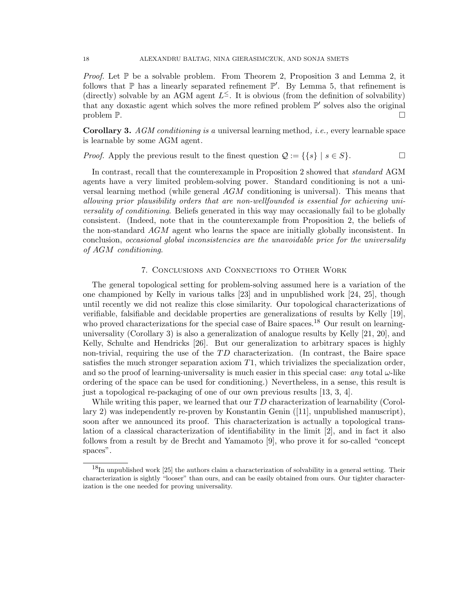*Proof.* Let  $\mathbb P$  be a solvable problem. From Theorem 2, Proposition 3 and Lemma 2, it follows that  $\mathbb P$  has a linearly separated refinement  $\mathbb P'$ . By Lemma 5, that refinement is (directly) solvable by an AGM agent  $L^{\le}$ . It is obvious (from the definition of solvability) that any doxastic agent which solves the more refined problem  $\mathbb{P}'$  solves also the original problem P.

Corollary 3. AGM conditioning is a universal learning method, i.e., every learnable space is learnable by some AGM agent.

*Proof.* Apply the previous result to the finest question  $\mathcal{Q} := \{ \{s\} \mid s \in S \}.$ 

In contrast, recall that the counterexample in Proposition 2 showed that standard AGM agents have a very limited problem-solving power. Standard conditioning is not a universal learning method (while general AGM conditioning is universal). This means that allowing prior plausibility orders that are non-wellfounded is essential for achieving universality of conditioning. Beliefs generated in this way may occasionally fail to be globally consistent. (Indeed, note that in the counterexample from Proposition 2, the beliefs of the non-standard AGM agent who learns the space are initially globally inconsistent. In conclusion, occasional global inconsistencies are the unavoidable price for the universality of AGM conditioning.

### 7. Conclusions and Connections to Other Work

The general topological setting for problem-solving assumed here is a variation of the one championed by Kelly in various talks [23] and in unpublished work [24, 25], though until recently we did not realize this close similarity. Our topological characterizations of verifiable, falsifiable and decidable properties are generalizations of results by Kelly [19], who proved characterizations for the special case of Baire spaces.<sup>18</sup> Our result on learninguniversality (Corollary 3) is also a generalization of analogue results by Kelly [21, 20], and Kelly, Schulte and Hendricks [26]. But our generalization to arbitrary spaces is highly non-trivial, requiring the use of the  $TD$  characterization. (In contrast, the Baire space satisfies the much stronger separation axiom  $T_1$ , which trivializes the specialization order, and so the proof of learning-universality is much easier in this special case: any total  $\omega$ -like ordering of the space can be used for conditioning.) Nevertheless, in a sense, this result is just a topological re-packaging of one of our own previous results [13, 3, 4].

While writing this paper, we learned that our  $TD$  characterization of learnability (Corollary 2) was independently re-proven by Konstantin Genin ([11], unpublished manuscript), soon after we announced its proof. This characterization is actually a topological translation of a classical characterization of identifiability in the limit [2], and in fact it also follows from a result by de Brecht and Yamamoto [9], who prove it for so-called "concept spaces".

 $18$ In unpublished work [25] the authors claim a characterization of solvability in a general setting. Their characterization is sightly "looser" than ours, and can be easily obtained from ours. Our tighter characterization is the one needed for proving universality.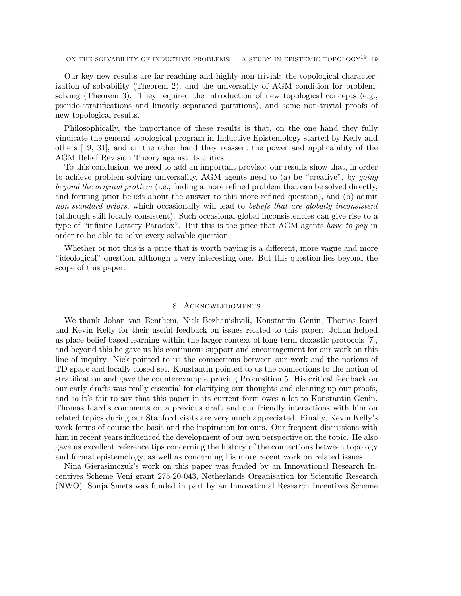ON THE SOLVABILITY OF INDUCTIVE PROBLEMS: A STUDY IN EPISTEMIC TOPOLOGY<sup>19</sup> 19

Our key new results are far-reaching and highly non-trivial: the topological characterization of solvability (Theorem 2), and the universality of AGM condition for problemsolving (Theorem 3). They required the introduction of new topological concepts (e.g., pseudo-stratifications and linearly separated partitions), and some non-trivial proofs of new topological results.

Philosophically, the importance of these results is that, on the one hand they fully vindicate the general topological program in Inductive Epistemology started by Kelly and others [19, 31], and on the other hand they reassert the power and applicability of the AGM Belief Revision Theory against its critics.

To this conclusion, we need to add an important proviso: our results show that, in order to achieve problem-solving universality, AGM agents need to (a) be "creative", by going beyond the original problem (i.e., finding a more refined problem that can be solved directly, and forming prior beliefs about the answer to this more refined question), and (b) admit non-standard priors, which occasionally will lead to beliefs that are globally inconsistent (although still locally consistent). Such occasional global inconsistencies can give rise to a type of "infinite Lottery Paradox". But this is the price that AGM agents have to pay in order to be able to solve every solvable question.

Whether or not this is a price that is worth paying is a different, more vague and more "ideological" question, although a very interesting one. But this question lies beyond the scope of this paper.

#### 8. Acknowledgments

We thank Johan van Benthem, Nick Bezhanishvili, Konstantin Genin, Thomas Icard and Kevin Kelly for their useful feedback on issues related to this paper. Johan helped us place belief-based learning within the larger context of long-term doxastic protocols [7], and beyond this he gave us his continuous support and encouragement for our work on this line of inquiry. Nick pointed to us the connections between our work and the notions of TD-space and locally closed set. Konstantin pointed to us the connections to the notion of stratification and gave the counterexample proving Proposition 5. His critical feedback on our early drafts was really essential for clarifying our thoughts and cleaning up our proofs, and so it's fair to say that this paper in its current form owes a lot to Konstantin Genin. Thomas Icard's comments on a previous draft and our friendly interactions with him on related topics during our Stanford visits are very much appreciated. Finally, Kevin Kelly's work forms of course the basis and the inspiration for ours. Our frequent discussions with him in recent years influenced the development of our own perspective on the topic. He also gave us excellent reference tips concerning the history of the connections between topology and formal epistemology, as well as concerning his more recent work on related issues.

Nina Gierasimczuk's work on this paper was funded by an Innovational Research Incentives Scheme Veni grant 275-20-043, Netherlands Organisation for Scientific Research (NWO). Sonja Smets was funded in part by an Innovational Research Incentives Scheme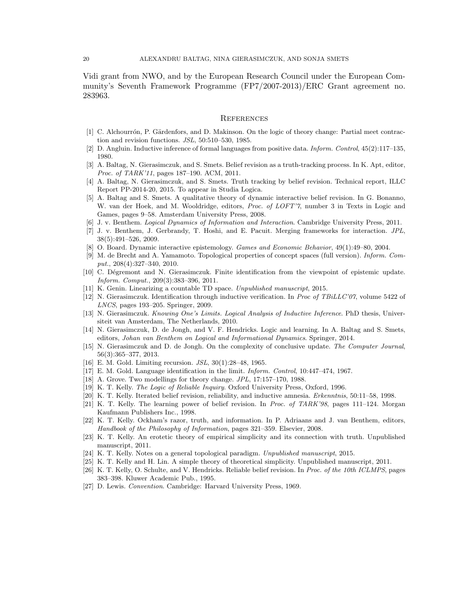Vidi grant from NWO, and by the European Research Council under the European Community's Seventh Framework Programme (FP7/2007-2013)/ERC Grant agreement no. 283963.

#### **REFERENCES**

- [1] C. Alchourrón, P. Gärdenfors, and D. Makinson. On the logic of theory change: Partial meet contraction and revision functions. JSL, 50:510–530, 1985.
- [2] D. Angluin. Inductive inference of formal languages from positive data. Inform. Control, 45(2):117–135, 1980.
- [3] A. Baltag, N. Gierasimczuk, and S. Smets. Belief revision as a truth-tracking process. In K. Apt, editor, Proc. of TARK'11, pages 187–190. ACM, 2011.
- [4] A. Baltag, N. Gierasimczuk, and S. Smets. Truth tracking by belief revision. Technical report, ILLC Report PP-2014-20, 2015. To appear in Studia Logica.
- [5] A. Baltag and S. Smets. A qualitative theory of dynamic interactive belief revision. In G. Bonanno, W. van der Hoek, and M. Wooldridge, editors, Proc. of LOFT'7, number 3 in Texts in Logic and Games, pages 9–58. Amsterdam University Press, 2008.
- [6] J. v. Benthem. *Logical Dynamics of Information and Interaction*. Cambridge University Press, 2011.
- [7] J. v. Benthem, J. Gerbrandy, T. Hoshi, and E. Pacuit. Merging frameworks for interaction. JPL, 38(5):491–526, 2009.
- [8] O. Board. Dynamic interactive epistemology. Games and Economic Behavior, 49(1):49–80, 2004.
- [9] M. de Brecht and A. Yamamoto. Topological properties of concept spaces (full version). Inform. Comput., 208(4):327–340, 2010.
- [10] C. Dégremont and N. Gierasimczuk. Finite identification from the viewpoint of epistemic update. Inform. Comput., 209(3):383–396, 2011.
- [11] K. Genin. Linearizing a countable TD space. Unpublished manuscript, 2015.
- [12] N. Gierasimczuk. Identification through inductive verification. In Proc of TBiLLC'07, volume 5422 of LNCS, pages 193–205. Springer, 2009.
- [13] N. Gierasimczuk. Knowing One's Limits. Logical Analysis of Inductive Inference. PhD thesis, Universiteit van Amsterdam, The Netherlands, 2010.
- [14] N. Gierasimczuk, D. de Jongh, and V. F. Hendricks. Logic and learning. In A. Baltag and S. Smets, editors, Johan van Benthem on Logical and Informational Dynamics. Springer, 2014.
- [15] N. Gierasimczuk and D. de Jongh. On the complexity of conclusive update. The Computer Journal, 56(3):365–377, 2013.
- [16] E. M. Gold. Limiting recursion. JSL, 30(1):28–48, 1965.
- [17] E. M. Gold. Language identification in the limit. Inform. Control, 10:447–474, 1967.
- [18] A. Grove. Two modellings for theory change. JPL, 17:157–170, 1988.
- [19] K. T. Kelly. The Logic of Reliable Inquiry. Oxford University Press, Oxford, 1996.
- [20] K. T. Kelly. Iterated belief revision, reliability, and inductive amnesia. Erkenntnis, 50:11–58, 1998.
- [21] K. T. Kelly. The learning power of belief revision. In *Proc. of TARK'98*, pages 111–124. Morgan Kaufmann Publishers Inc., 1998.
- [22] K. T. Kelly. Ockham's razor, truth, and information. In P. Adriaans and J. van Benthem, editors, Handbook of the Philosophy of Information, pages 321–359. Elsevier, 2008.
- [23] K. T. Kelly. An erotetic theory of empirical simplicity and its connection with truth. Unpublished manuscript, 2011.
- [24] K. T. Kelly. Notes on a general topological paradigm. Unpublished manuscript, 2015.
- [25] K. T. Kelly and H. Lin. A simple theory of theoretical simplicity. Unpublished manuscript, 2011.
- [26] K. T. Kelly, O. Schulte, and V. Hendricks. Reliable belief revision. In Proc. of the 10th ICLMPS, pages 383–398. Kluwer Academic Pub., 1995.
- [27] D. Lewis. Convention. Cambridge: Harvard University Press, 1969.